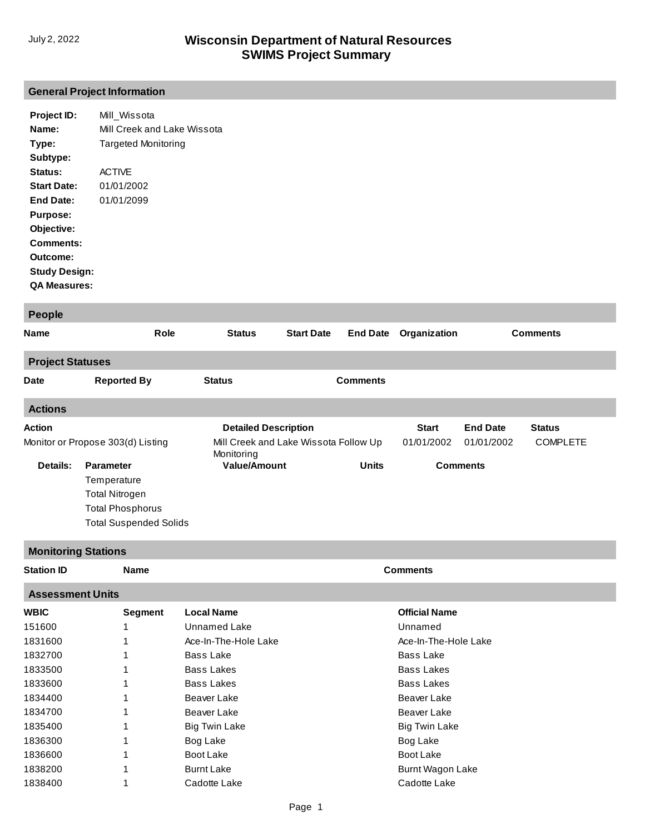## **[General Project Information](http://prodoasint.dnr.wi.gov/swims/viewPlan.do?id=10171268)**

| Project ID:          | Mill Wissota                |
|----------------------|-----------------------------|
| Name:                | Mill Creek and Lake Wissota |
| Type:                | Targeted Monitoring         |
| Subtype:             |                             |
| Status:              | <b>ACTIVE</b>               |
| <b>Start Date:</b>   | 01/01/2002                  |
| End Date:            | 01/01/2099                  |
| <b>Purpose:</b>      |                             |
| Objective:           |                             |
| Comments:            |                             |
| Outcome:             |                             |
| <b>Study Design:</b> |                             |
| <b>QA Measures:</b>  |                             |

| <b>People</b>           |                                   |                                                     |                   |                 |              |                 |                 |
|-------------------------|-----------------------------------|-----------------------------------------------------|-------------------|-----------------|--------------|-----------------|-----------------|
| Name                    | Role                              | <b>Status</b>                                       | <b>Start Date</b> | <b>End Date</b> | Organization |                 | <b>Comments</b> |
| <b>Project Statuses</b> |                                   |                                                     |                   |                 |              |                 |                 |
| <b>Date</b>             | <b>Reported By</b>                | <b>Status</b>                                       |                   | <b>Comments</b> |              |                 |                 |
| <b>Actions</b>          |                                   |                                                     |                   |                 |              |                 |                 |
| Action                  |                                   | <b>Detailed Description</b>                         |                   |                 | <b>Start</b> | <b>End Date</b> | <b>Status</b>   |
|                         | Monitor or Propose 303(d) Listing | Mill Creek and Lake Wissota Follow Up<br>Monitoring |                   |                 | 01/01/2002   | 01/01/2002      | <b>COMPLETE</b> |
| Details:                | <b>Parameter</b>                  | <b>Value/Amount</b>                                 |                   | <b>Units</b>    |              | <b>Comments</b> |                 |
|                         | Temperature                       |                                                     |                   |                 |              |                 |                 |
|                         | <b>Total Nitrogen</b>             |                                                     |                   |                 |              |                 |                 |
|                         | <b>Total Phosphorus</b>           |                                                     |                   |                 |              |                 |                 |
|                         | <b>Total Suspended Solids</b>     |                                                     |                   |                 |              |                 |                 |
|                         | <b>Monitoring Stations</b>        |                                                     |                   |                 |              |                 |                 |

| <b>Station ID</b>       | <b>Name</b>    |                      | <b>Comments</b>      |  |  |  |
|-------------------------|----------------|----------------------|----------------------|--|--|--|
| <b>Assessment Units</b> |                |                      |                      |  |  |  |
| <b>WBIC</b>             | <b>Segment</b> | <b>Local Name</b>    | <b>Official Name</b> |  |  |  |
| 151600                  |                | Unnamed Lake         | Unnamed              |  |  |  |
| 1831600                 |                | Ace-In-The-Hole Lake | Ace-In-The-Hole Lake |  |  |  |
| 1832700                 |                | Bass Lake            | Bass Lake            |  |  |  |
| 1833500                 |                | Bass Lakes           | <b>Bass Lakes</b>    |  |  |  |
| 1833600                 |                | Bass Lakes           | <b>Bass Lakes</b>    |  |  |  |
| 1834400                 |                | Beaver Lake          | Beaver Lake          |  |  |  |
| 1834700                 |                | Beaver Lake          | Beaver Lake          |  |  |  |
| 1835400                 |                | <b>Big Twin Lake</b> | <b>Big Twin Lake</b> |  |  |  |
| 1836300                 |                | Bog Lake             | Bog Lake             |  |  |  |
| 1836600                 |                | Boot Lake            | Boot Lake            |  |  |  |
| 1838200                 |                | <b>Burnt Lake</b>    | Burnt Wagon Lake     |  |  |  |
| 1838400                 |                | Cadotte Lake         | Cadotte Lake         |  |  |  |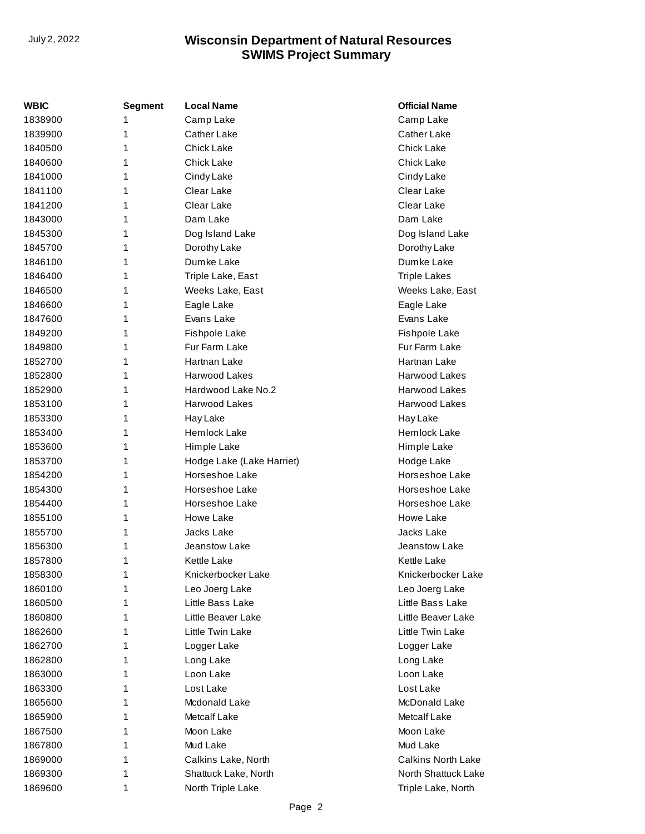| WBIC    | <b>Segment</b> | <b>Local Name</b>         | <b>Official Name</b>      |
|---------|----------------|---------------------------|---------------------------|
| 1838900 | 1              | Camp Lake                 | Camp Lake                 |
| 1839900 | 1              | Cather Lake               | Cather Lake               |
| 1840500 | 1              | <b>Chick Lake</b>         | <b>Chick Lake</b>         |
| 1840600 | 1              | Chick Lake                | Chick Lake                |
| 1841000 | 1              | Cindy Lake                | Cindy Lake                |
| 1841100 | 1              | Clear Lake                | Clear Lake                |
| 1841200 | 1              | Clear Lake                | Clear Lake                |
| 1843000 | 1              | Dam Lake                  | Dam Lake                  |
| 1845300 | 1              | Dog Island Lake           | Dog Island Lake           |
| 1845700 | 1              | Dorothy Lake              | Dorothy Lake              |
| 1846100 | 1              | Dumke Lake                | Dumke Lake                |
| 1846400 | 1              | Triple Lake, East         | <b>Triple Lakes</b>       |
| 1846500 | 1              | Weeks Lake, East          | Weeks Lake, East          |
| 1846600 | 1              | Eagle Lake                | Eagle Lake                |
| 1847600 | 1              | Evans Lake                | Evans Lake                |
| 1849200 | 1              | Fishpole Lake             | Fishpole Lake             |
| 1849800 | 1              | Fur Farm Lake             | Fur Farm Lake             |
| 1852700 | 1              | Hartnan Lake              | Hartnan Lake              |
| 1852800 | 1              | Harwood Lakes             | Harwood Lakes             |
| 1852900 | 1              | Hardwood Lake No.2        | <b>Harwood Lakes</b>      |
| 1853100 | 1              | Harwood Lakes             | <b>Harwood Lakes</b>      |
| 1853300 | 1              | Hay Lake                  | Hay Lake                  |
| 1853400 | 1              | Hemlock Lake              | Hemlock Lake              |
| 1853600 | 1              | Himple Lake               | Himple Lake               |
| 1853700 | 1              | Hodge Lake (Lake Harriet) | Hodge Lake                |
| 1854200 | 1              | Horseshoe Lake            | Horseshoe Lake            |
| 1854300 | 1              | Horseshoe Lake            | Horseshoe Lake            |
| 1854400 | 1              | Horseshoe Lake            | Horseshoe Lake            |
| 1855100 | 1              | Howe Lake                 | Howe Lake                 |
| 1855700 | 1              | Jacks Lake                | Jacks Lake                |
| 1856300 | 1              | Jeanstow Lake             | Jeanstow Lake             |
| 1857800 | 1              | Kettle Lake               | Kettle Lake               |
| 1858300 | 1              | Knickerbocker Lake        | Knickerbocker Lake        |
| 1860100 | 1              | Leo Joerg Lake            | Leo Joerg Lake            |
| 1860500 | 1              | Little Bass Lake          | Little Bass Lake          |
| 1860800 | 1              | Little Beaver Lake        | Little Beaver Lake        |
| 1862600 | 1              | Little Twin Lake          | Little Twin Lake          |
| 1862700 | 1              | Logger Lake               | Logger Lake               |
| 1862800 | 1              | Long Lake                 | Long Lake                 |
| 1863000 | 1              | Loon Lake                 | Loon Lake                 |
| 1863300 | 1              | Lost Lake                 | Lost Lake                 |
| 1865600 | 1              | Mcdonald Lake             | McDonald Lake             |
| 1865900 | 1              | Metcalf Lake              | Metcalf Lake              |
| 1867500 | 1              | Moon Lake                 | Moon Lake                 |
| 1867800 | 1              | Mud Lake                  | Mud Lake                  |
| 1869000 | 1              | Calkins Lake, North       | <b>Calkins North Lake</b> |
| 1869300 | 1              | Shattuck Lake, North      | North Shattuck Lake       |
| 1869600 | 1              | North Triple Lake         | Triple Lake, North        |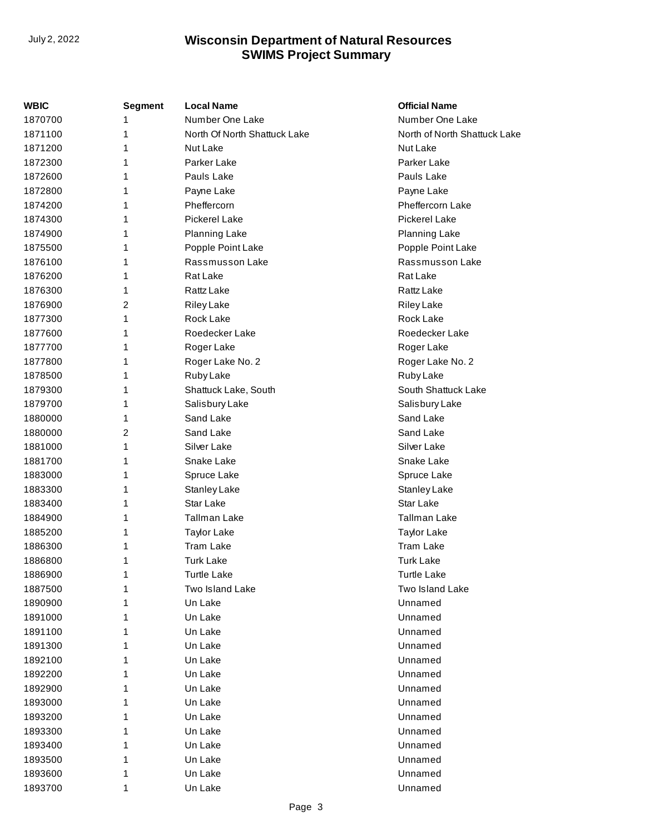| WBIC    | <b>Segment</b> | <b>Local Name</b>            | <b>Official Name</b>         |
|---------|----------------|------------------------------|------------------------------|
| 1870700 | 1              | Number One Lake              | Number One Lake              |
| 1871100 | 1              | North Of North Shattuck Lake | North of North Shattuck Lake |
| 1871200 | 1              | Nut Lake                     | Nut Lake                     |
| 1872300 | 1              | Parker Lake                  | Parker Lake                  |
| 1872600 | 1              | Pauls Lake                   | Pauls Lake                   |
| 1872800 | 1              | Payne Lake                   | Payne Lake                   |
| 1874200 | 1              | Pheffercorn                  | <b>Pheffercorn Lake</b>      |
| 1874300 | 1              | <b>Pickerel Lake</b>         | <b>Pickerel Lake</b>         |
| 1874900 | 1              | Planning Lake                | <b>Planning Lake</b>         |
| 1875500 | 1              | Popple Point Lake            | Popple Point Lake            |
| 1876100 | 1              | Rassmusson Lake              | Rassmusson Lake              |
| 1876200 | 1              | Rat Lake                     | Rat Lake                     |
| 1876300 | 1              | Rattz Lake                   | Rattz Lake                   |
| 1876900 | 2              | Riley Lake                   | Riley Lake                   |
| 1877300 | 1              | Rock Lake                    | Rock Lake                    |
| 1877600 | 1              | Roedecker Lake               | Roedecker Lake               |
| 1877700 | 1              | Roger Lake                   | Roger Lake                   |
| 1877800 | 1              | Roger Lake No. 2             | Roger Lake No. 2             |
| 1878500 | 1              | Ruby Lake                    | Ruby Lake                    |
| 1879300 | 1              | Shattuck Lake, South         | South Shattuck Lake          |
| 1879700 | 1              | Salisbury Lake               | Salisbury Lake               |
| 1880000 | 1              | Sand Lake                    | Sand Lake                    |
| 1880000 | 2              | Sand Lake                    | Sand Lake                    |
| 1881000 | 1              | Silver Lake                  | Silver Lake                  |
| 1881700 | 1              | Snake Lake                   | Snake Lake                   |
| 1883000 | 1              | Spruce Lake                  | Spruce Lake                  |
| 1883300 | 1              | Stanley Lake                 | <b>Stanley Lake</b>          |
| 1883400 | 1              | Star Lake                    | Star Lake                    |
| 1884900 | 1              | <b>Tallman Lake</b>          | Tallman Lake                 |
| 1885200 | 1              | Taylor Lake                  | Taylor Lake                  |
| 1886300 | 1              | <b>Tram Lake</b>             | <b>Tram Lake</b>             |
| 1886800 | 1              | <b>Turk Lake</b>             | <b>Turk Lake</b>             |
| 1886900 |                | <b>Turtle Lake</b>           | <b>Turtle Lake</b>           |
| 1887500 | 1              | Two Island Lake              | Two Island Lake              |
| 1890900 | 1              | Un Lake                      | Unnamed                      |
| 1891000 | 1              | Un Lake                      | Unnamed                      |
| 1891100 |                | Un Lake                      | Unnamed                      |
| 1891300 |                | Un Lake                      | Unnamed                      |
| 1892100 | 1              | Un Lake                      | Unnamed                      |
| 1892200 |                | Un Lake                      | Unnamed                      |
| 1892900 | 1              | Un Lake                      | Unnamed                      |
| 1893000 | 1              | Un Lake                      | Unnamed                      |
| 1893200 | 1              | Un Lake                      | Unnamed                      |
| 1893300 |                | Un Lake                      | Unnamed                      |
| 1893400 |                | Un Lake                      | Unnamed                      |
| 1893500 |                | Un Lake                      | Unnamed                      |
| 1893600 | 1              | Un Lake                      | Unnamed                      |
| 1893700 | 1              | Un Lake                      | Unnamed                      |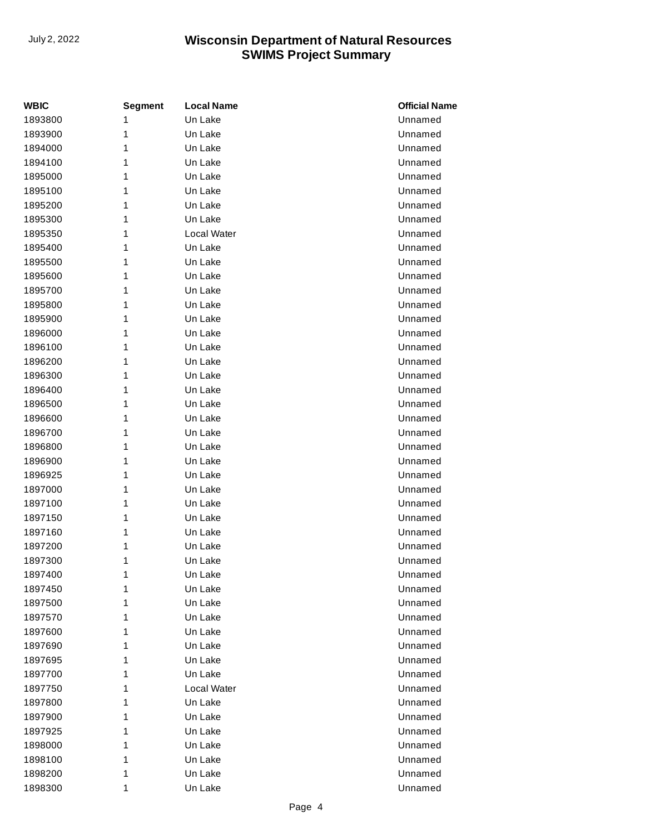| WBIC    | <b>Segment</b> | <b>Local Name</b> | <b>Official Name</b> |
|---------|----------------|-------------------|----------------------|
| 1893800 | 1              | Un Lake           | Unnamed              |
| 1893900 | 1              | Un Lake           | Unnamed              |
| 1894000 | 1              | Un Lake           | Unnamed              |
| 1894100 | 1              | Un Lake           | Unnamed              |
| 1895000 | 1              | Un Lake           | Unnamed              |
| 1895100 | 1              | Un Lake           | Unnamed              |
| 1895200 | 1              | Un Lake           | Unnamed              |
| 1895300 | 1              | Un Lake           | Unnamed              |
| 1895350 | 1              | Local Water       | Unnamed              |
| 1895400 | 1              | Un Lake           | Unnamed              |
| 1895500 | 1              | Un Lake           | Unnamed              |
| 1895600 | 1              | Un Lake           | Unnamed              |
| 1895700 | 1              | Un Lake           | Unnamed              |
| 1895800 | 1              | Un Lake           | Unnamed              |
| 1895900 | 1              | Un Lake           | Unnamed              |
| 1896000 | 1              | Un Lake           | Unnamed              |
| 1896100 | 1              | Un Lake           | Unnamed              |
| 1896200 | 1              | Un Lake           | Unnamed              |
| 1896300 | 1              | Un Lake           | Unnamed              |
| 1896400 | 1              | Un Lake           | Unnamed              |
| 1896500 | 1              | Un Lake           | Unnamed              |
| 1896600 | 1              | Un Lake           | Unnamed              |
| 1896700 | 1              | Un Lake           | Unnamed              |
| 1896800 | 1              | Un Lake           | Unnamed              |
| 1896900 | 1              | Un Lake           | Unnamed              |
| 1896925 | 1              | Un Lake           | Unnamed              |
| 1897000 | 1              | Un Lake           | Unnamed              |
| 1897100 | 1              | Un Lake           | Unnamed              |
| 1897150 | 1              | Un Lake           | Unnamed              |
| 1897160 | 1              | Un Lake           | Unnamed              |
| 1897200 | 1              | Un Lake           | Unnamed              |
| 1897300 | 1              | Un Lake           | Unnamed              |
| 1897400 | 1              | Un Lake           | Unnamed              |
| 1897450 | 1              | Un Lake           | Unnamed              |
| 1897500 | 1              | Un Lake           | Unnamed              |
| 1897570 | 1              | Un Lake           | Unnamed              |
| 1897600 | 1              | Un Lake           | Unnamed              |
| 1897690 | 1              | Un Lake           | Unnamed              |
| 1897695 | 1              | Un Lake           | Unnamed              |
| 1897700 | 1              | Un Lake           | Unnamed              |
| 1897750 | 1              | Local Water       | Unnamed              |
| 1897800 | 1              | Un Lake           | Unnamed              |
| 1897900 | 1              | Un Lake           | Unnamed              |
| 1897925 | 1              | Un Lake           | Unnamed              |
| 1898000 | 1              | Un Lake           | Unnamed              |
| 1898100 | 1              | Un Lake           | Unnamed              |
| 1898200 | 1              | Un Lake           | Unnamed              |
| 1898300 | 1              | Un Lake           | Unnamed              |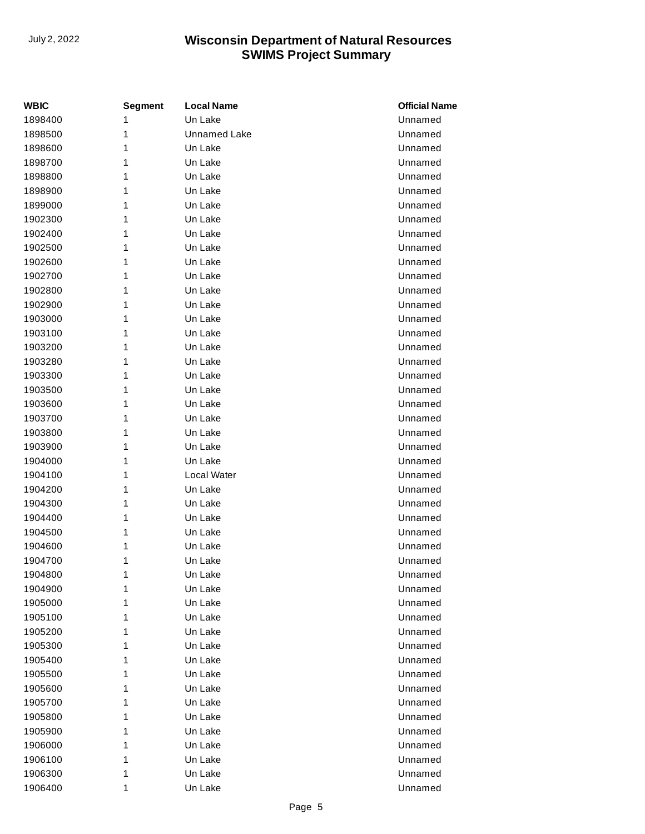| WBIC    | Segment | <b>Local Name</b>   | <b>Official Name</b> |
|---------|---------|---------------------|----------------------|
| 1898400 | 1       | Un Lake             | Unnamed              |
| 1898500 | 1       | <b>Unnamed Lake</b> | Unnamed              |
| 1898600 | 1       | Un Lake             | Unnamed              |
| 1898700 | 1       | Un Lake             | Unnamed              |
| 1898800 | 1       | Un Lake             | Unnamed              |
| 1898900 | 1       | Un Lake             | Unnamed              |
| 1899000 | 1       | Un Lake             | Unnamed              |
| 1902300 | 1       | Un Lake             | Unnamed              |
| 1902400 | 1       | Un Lake             | Unnamed              |
| 1902500 | 1       | Un Lake             | Unnamed              |
| 1902600 | 1       | Un Lake             | Unnamed              |
| 1902700 | 1       | Un Lake             | Unnamed              |
| 1902800 | 1       | Un Lake             | Unnamed              |
| 1902900 | 1       | Un Lake             | Unnamed              |
| 1903000 | 1       | Un Lake             | Unnamed              |
| 1903100 | 1       | Un Lake             | Unnamed              |
| 1903200 | 1       | Un Lake             | Unnamed              |
| 1903280 | 1       | Un Lake             | Unnamed              |
| 1903300 | 1       | Un Lake             | Unnamed              |
| 1903500 | 1       | Un Lake             | Unnamed              |
| 1903600 | 1       | Un Lake             | Unnamed              |
| 1903700 | 1       | Un Lake             | Unnamed              |
| 1903800 | 1       | Un Lake             | Unnamed              |
| 1903900 | 1       | Un Lake             | Unnamed              |
| 1904000 | 1       | Un Lake             | Unnamed              |
| 1904100 | 1       | Local Water         | Unnamed              |
| 1904200 | 1       | Un Lake             | Unnamed              |
| 1904300 | 1       | Un Lake             | Unnamed              |
| 1904400 | 1       | Un Lake             | Unnamed              |
| 1904500 | 1       | Un Lake             | Unnamed              |
| 1904600 | 1       | Un Lake             | Unnamed              |
| 1904700 | 1       | Un Lake             | Unnamed              |
| 1904800 | 1       | Un Lake             | Unnamed              |
| 1904900 | 1       | Un Lake             | Unnamed              |
| 1905000 | 1       | Un Lake             | Unnamed              |
| 1905100 | 1       | Un Lake             | Unnamed              |
| 1905200 | 1       | Un Lake             | Unnamed              |
| 1905300 | 1       | Un Lake             | Unnamed              |
| 1905400 | 1       | Un Lake             | Unnamed              |
| 1905500 | 1       | Un Lake             | Unnamed              |
| 1905600 | 1       | Un Lake             | Unnamed              |
| 1905700 | 1       | Un Lake             | Unnamed              |
| 1905800 | 1       | Un Lake             | Unnamed              |
| 1905900 | 1       | Un Lake             | Unnamed              |
| 1906000 | 1       | Un Lake             | Unnamed              |
| 1906100 | 1       | Un Lake             | Unnamed              |
| 1906300 | 1       | Un Lake             | Unnamed              |
| 1906400 | 1       | Un Lake             | Unnamed              |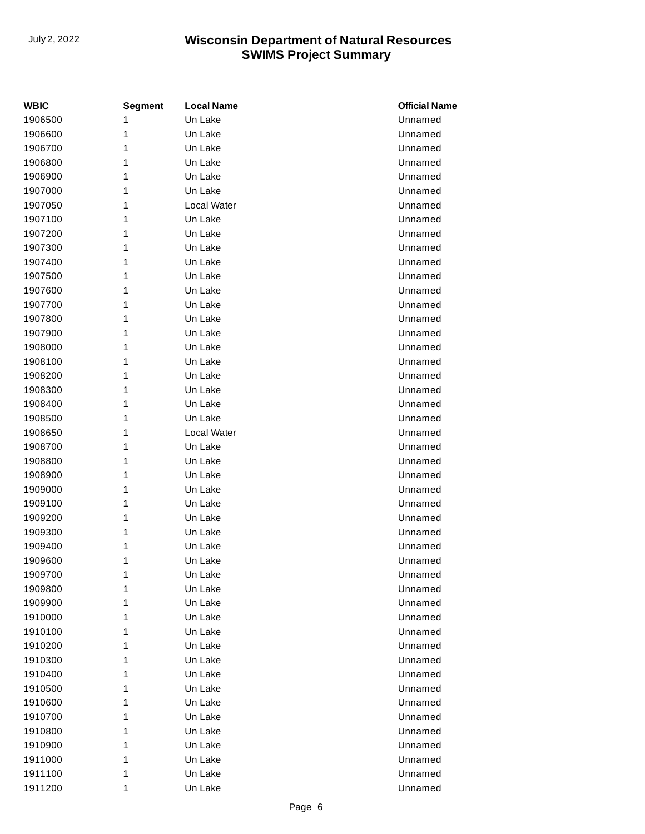| WBIC    | <b>Segment</b> | <b>Local Name</b> | <b>Official Name</b> |
|---------|----------------|-------------------|----------------------|
| 1906500 | 1              | Un Lake           | Unnamed              |
| 1906600 | 1              | Un Lake           | Unnamed              |
| 1906700 | 1              | Un Lake           | Unnamed              |
| 1906800 | 1              | Un Lake           | Unnamed              |
| 1906900 | 1              | Un Lake           | Unnamed              |
| 1907000 | 1              | Un Lake           | Unnamed              |
| 1907050 | 1              | Local Water       | Unnamed              |
| 1907100 | 1              | Un Lake           | Unnamed              |
| 1907200 | 1              | Un Lake           | Unnamed              |
| 1907300 | 1              | Un Lake           | Unnamed              |
| 1907400 | 1              | Un Lake           | Unnamed              |
| 1907500 | 1              | Un Lake           | Unnamed              |
| 1907600 | 1              | Un Lake           | Unnamed              |
| 1907700 | 1              | Un Lake           | Unnamed              |
| 1907800 | 1              | Un Lake           | Unnamed              |
| 1907900 | 1              | Un Lake           | Unnamed              |
| 1908000 | 1              | Un Lake           | Unnamed              |
| 1908100 | 1              | Un Lake           | Unnamed              |
| 1908200 | 1              | Un Lake           | Unnamed              |
| 1908300 | 1              | Un Lake           | Unnamed              |
| 1908400 | 1              | Un Lake           | Unnamed              |
| 1908500 | 1              | Un Lake           | Unnamed              |
| 1908650 | 1              | Local Water       | Unnamed              |
| 1908700 | 1              | Un Lake           | Unnamed              |
| 1908800 | 1              | Un Lake           | Unnamed              |
| 1908900 | 1              | Un Lake           | Unnamed              |
| 1909000 | 1              | Un Lake           | Unnamed              |
| 1909100 | 1              | Un Lake           | Unnamed              |
| 1909200 | 1              | Un Lake           | Unnamed              |
| 1909300 | 1              | Un Lake           | Unnamed              |
| 1909400 | 1              | Un Lake           | Unnamed              |
| 1909600 | 1              | Un Lake           | Unnamed              |
| 1909700 | 1              | Un Lake           | Unnamed              |
| 1909800 | 1              | Un Lake           | Unnamed              |
| 1909900 | 1              | Un Lake           | Unnamed              |
| 1910000 | 1              | Un Lake           | Unnamed              |
| 1910100 | 1              | Un Lake           | Unnamed              |
| 1910200 | 1              | Un Lake           | Unnamed              |
| 1910300 | 1              | Un Lake           | Unnamed              |
| 1910400 | 1              | Un Lake           | Unnamed              |
| 1910500 | 1              | Un Lake           | Unnamed              |
| 1910600 | 1              | Un Lake           | Unnamed              |
| 1910700 | 1              | Un Lake           | Unnamed              |
| 1910800 | 1              | Un Lake           | Unnamed              |
| 1910900 | 1              | Un Lake           | Unnamed              |
| 1911000 | 1              | Un Lake           | Unnamed              |
| 1911100 | 1              | Un Lake           | Unnamed              |
| 1911200 | 1              | Un Lake           | Unnamed              |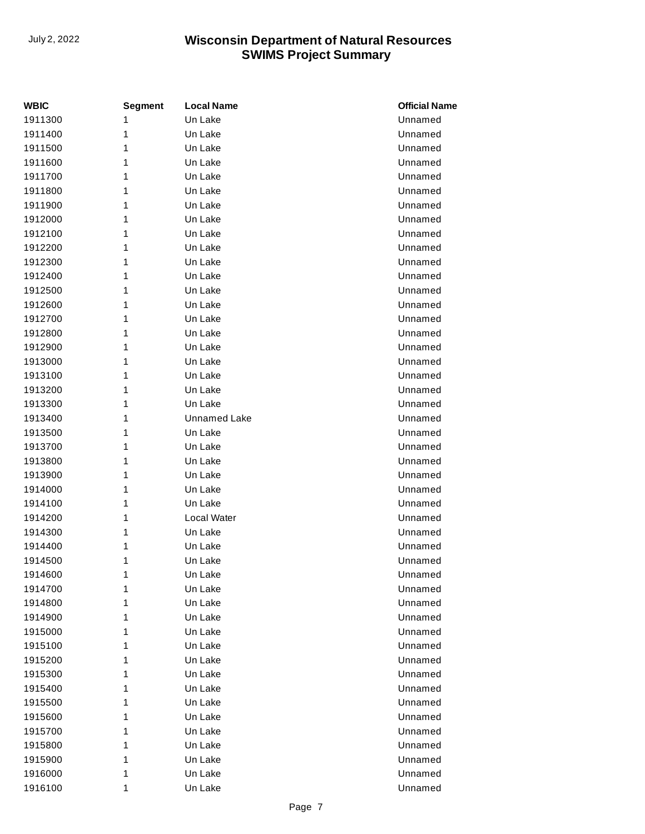| WBIC    | <b>Segment</b> | <b>Local Name</b>   | <b>Official Name</b> |
|---------|----------------|---------------------|----------------------|
| 1911300 | 1              | Un Lake             | Unnamed              |
| 1911400 | 1              | Un Lake             | Unnamed              |
| 1911500 | 1              | Un Lake             | Unnamed              |
| 1911600 | 1              | Un Lake             | Unnamed              |
| 1911700 | 1              | Un Lake             | Unnamed              |
| 1911800 | 1              | Un Lake             | Unnamed              |
| 1911900 | 1              | Un Lake             | Unnamed              |
| 1912000 | 1              | Un Lake             | Unnamed              |
| 1912100 | 1              | Un Lake             | Unnamed              |
| 1912200 | 1              | Un Lake             | Unnamed              |
| 1912300 | 1              | Un Lake             | Unnamed              |
| 1912400 | 1              | Un Lake             | Unnamed              |
| 1912500 | 1              | Un Lake             | Unnamed              |
| 1912600 | 1              | Un Lake             | Unnamed              |
| 1912700 | 1              | Un Lake             | Unnamed              |
| 1912800 | 1              | Un Lake             | Unnamed              |
| 1912900 | 1              | Un Lake             | Unnamed              |
| 1913000 | 1              | Un Lake             | Unnamed              |
| 1913100 | 1              | Un Lake             | Unnamed              |
| 1913200 | 1              | Un Lake             | Unnamed              |
| 1913300 | 1              | Un Lake             | Unnamed              |
| 1913400 | 1              | <b>Unnamed Lake</b> | Unnamed              |
| 1913500 | 1              | Un Lake             | Unnamed              |
| 1913700 | 1              | Un Lake             | Unnamed              |
| 1913800 | 1              | Un Lake             | Unnamed              |
| 1913900 | 1              | Un Lake             | Unnamed              |
| 1914000 | 1              | Un Lake             | Unnamed              |
| 1914100 | 1              | Un Lake             | Unnamed              |
| 1914200 | 1              | Local Water         | Unnamed              |
| 1914300 | 1              | Un Lake             | Unnamed              |
| 1914400 | 1              | Un Lake             | Unnamed              |
| 1914500 | 1              | Un Lake             | Unnamed              |
| 1914600 | 1              | Un Lake             | Unnamed              |
| 1914700 | 1              | Un Lake             | Unnamed              |
| 1914800 | 1              | Un Lake             | Unnamed              |
| 1914900 | 1              | Un Lake             | Unnamed              |
| 1915000 | 1              | Un Lake             | Unnamed              |
| 1915100 | 1              | Un Lake             | Unnamed              |
| 1915200 | 1              | Un Lake             | Unnamed              |
| 1915300 | 1              | Un Lake             | Unnamed              |
| 1915400 | 1              | Un Lake             | Unnamed              |
| 1915500 | 1              | Un Lake             | Unnamed              |
| 1915600 | 1              | Un Lake             | Unnamed              |
| 1915700 | 1              | Un Lake             | Unnamed              |
| 1915800 | 1              | Un Lake             | Unnamed              |
| 1915900 | 1              | Un Lake             | Unnamed              |
| 1916000 | 1              | Un Lake             | Unnamed              |
| 1916100 | 1              | Un Lake             | Unnamed              |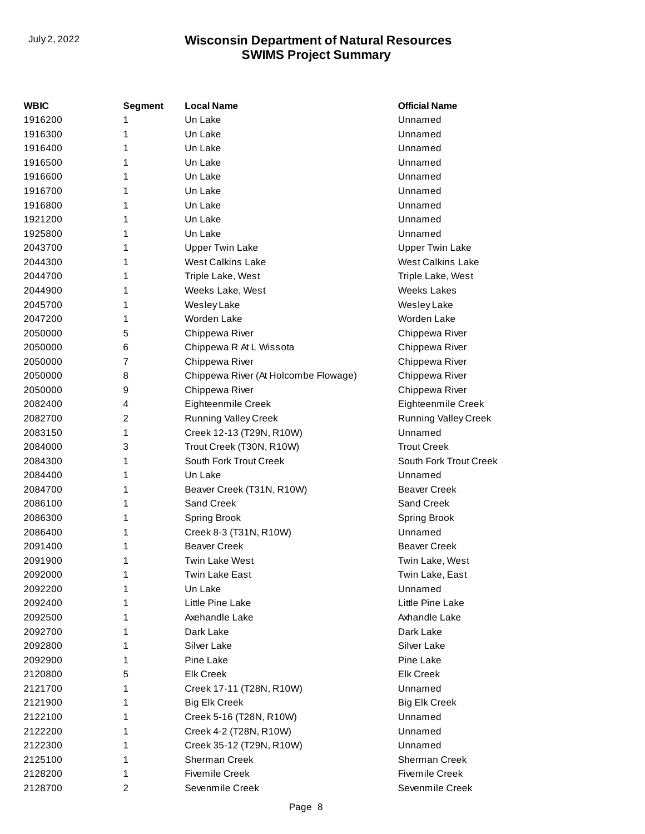| WBIC    | <b>Segment</b> | <b>Local Name</b>                    | <b>Official Name</b>        |
|---------|----------------|--------------------------------------|-----------------------------|
| 1916200 | 1              | Un Lake                              | Unnamed                     |
| 1916300 | 1              | Un Lake                              | Unnamed                     |
| 1916400 | 1              | Un Lake                              | Unnamed                     |
| 1916500 | 1              | Un Lake                              | Unnamed                     |
| 1916600 | 1              | Un Lake                              | Unnamed                     |
| 1916700 | 1              | Un Lake                              | Unnamed                     |
| 1916800 | 1              | Un Lake                              | Unnamed                     |
| 1921200 | 1              | Un Lake                              | Unnamed                     |
| 1925800 | 1              | Un Lake                              | Unnamed                     |
| 2043700 | 1              | <b>Upper Twin Lake</b>               | <b>Upper Twin Lake</b>      |
| 2044300 | 1              | <b>West Calkins Lake</b>             | <b>West Calkins Lake</b>    |
| 2044700 | 1              | Triple Lake, West                    | Triple Lake, West           |
| 2044900 | 1              | Weeks Lake, West                     | <b>Weeks Lakes</b>          |
| 2045700 | 1              | Wesley Lake                          | Wesley Lake                 |
| 2047200 | 1              | Worden Lake                          | Worden Lake                 |
| 2050000 | 5              | Chippewa River                       | Chippewa River              |
| 2050000 | 6              | Chippewa R At L Wissota              | Chippewa River              |
| 2050000 | $\overline{7}$ | Chippewa River                       | Chippewa River              |
| 2050000 | 8              | Chippewa River (At Holcombe Flowage) | Chippewa River              |
| 2050000 | 9              | Chippewa River                       | Chippewa River              |
| 2082400 | 4              | Eighteenmile Creek                   | Eighteenmile Creek          |
| 2082700 | 2              | <b>Running Valley Creek</b>          | <b>Running Valley Creek</b> |
| 2083150 | 1              | Creek 12-13 (T29N, R10W)             | Unnamed                     |
| 2084000 | 3              | Trout Creek (T30N, R10W)             | <b>Trout Creek</b>          |
| 2084300 | 1              | South Fork Trout Creek               | South Fork Trout Creek      |
| 2084400 | 1              | Un Lake                              | Unnamed                     |
| 2084700 | 1              | Beaver Creek (T31N, R10W)            | <b>Beaver Creek</b>         |
| 2086100 | 1              | Sand Creek                           | Sand Creek                  |
| 2086300 | 1              | <b>Spring Brook</b>                  | Spring Brook                |
| 2086400 | 1              | Creek 8-3 (T31N, R10W)               | Unnamed                     |
| 2091400 | 1              | <b>Beaver Creek</b>                  | <b>Beaver Creek</b>         |
| 2091900 | 1              | <b>Twin Lake West</b>                | Twin Lake, West             |
| 2092000 | 1              | Twin Lake East                       | Twin Lake, East             |
| 2092200 | 1              | Un Lake                              | Unnamed                     |
| 2092400 | 1              | Little Pine Lake                     | Little Pine Lake            |
| 2092500 | 1              | Axehandle Lake                       | Axhandle Lake               |
| 2092700 | 1              | Dark Lake                            | Dark Lake                   |
| 2092800 | 1              | Silver Lake                          | Silver Lake                 |
| 2092900 | 1              | Pine Lake                            | Pine Lake                   |
| 2120800 | 5              | <b>Elk Creek</b>                     | <b>Elk Creek</b>            |
| 2121700 | 1              | Creek 17-11 (T28N, R10W)             | Unnamed                     |
| 2121900 | 1              | <b>Big Elk Creek</b>                 | <b>Big Elk Creek</b>        |
| 2122100 | 1              | Creek 5-16 (T28N, R10W)              | Unnamed                     |
| 2122200 | 1              | Creek 4-2 (T28N, R10W)               | Unnamed                     |
| 2122300 | 1              | Creek 35-12 (T29N, R10W)             | Unnamed                     |
| 2125100 | 1              | Sherman Creek                        | Sherman Creek               |
| 2128200 | 1              | <b>Fivemile Creek</b>                | <b>Fivemile Creek</b>       |
| 2128700 | 2              | Sevenmile Creek                      | Sevenmile Creek             |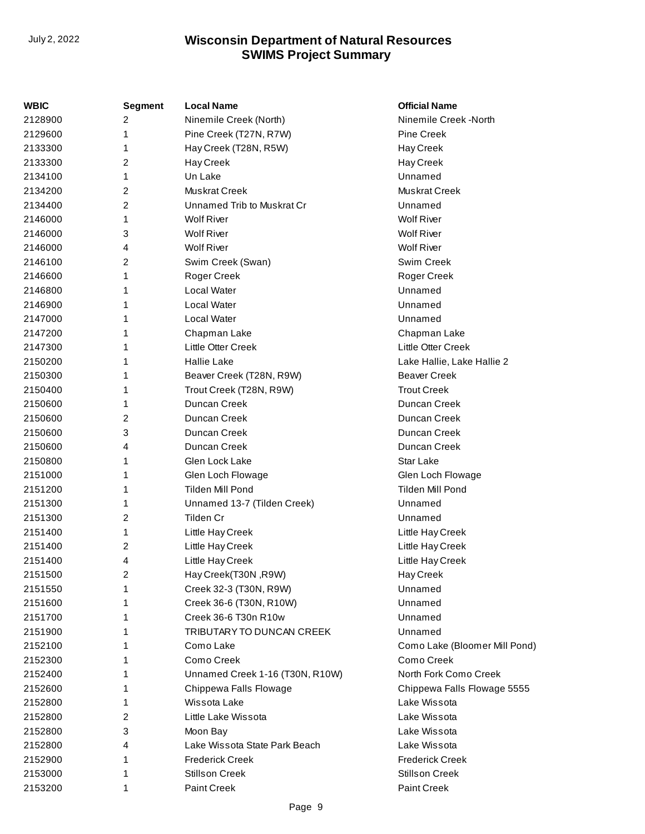| WBIC    | <b>Segment</b> | <b>Local Name</b>               | <b>Official Name</b>          |
|---------|----------------|---------------------------------|-------------------------------|
| 2128900 | 2              | Ninemile Creek (North)          | Ninemile Creek -North         |
| 2129600 | 1              | Pine Creek (T27N, R7W)          | <b>Pine Creek</b>             |
| 2133300 | 1              | Hay Creek (T28N, R5W)           | Hay Creek                     |
| 2133300 | 2              | Hay Creek                       | Hay Creek                     |
| 2134100 | 1              | Un Lake                         | Unnamed                       |
| 2134200 | 2              | Muskrat Creek                   | Muskrat Creek                 |
| 2134400 | 2              | Unnamed Trib to Muskrat Cr      | Unnamed                       |
| 2146000 |                | <b>Wolf River</b>               | <b>Wolf River</b>             |
| 2146000 | 3              | <b>Wolf River</b>               | <b>Wolf River</b>             |
| 2146000 | 4              | <b>Wolf River</b>               | <b>Wolf River</b>             |
| 2146100 | 2              | Swim Creek (Swan)               | Swim Creek                    |
| 2146600 |                | Roger Creek                     | Roger Creek                   |
| 2146800 |                | Local Water                     | Unnamed                       |
| 2146900 |                | Local Water                     | Unnamed                       |
| 2147000 |                | Local Water                     | Unnamed                       |
| 2147200 |                | Chapman Lake                    | Chapman Lake                  |
| 2147300 |                | Little Otter Creek              | Little Otter Creek            |
| 2150200 |                | <b>Hallie Lake</b>              | Lake Hallie, Lake Hallie 2    |
| 2150300 | 1              | Beaver Creek (T28N, R9W)        | <b>Beaver Creek</b>           |
| 2150400 |                | Trout Creek (T28N, R9W)         | <b>Trout Creek</b>            |
| 2150600 |                | Duncan Creek                    | Duncan Creek                  |
| 2150600 | 2              | Duncan Creek                    | Duncan Creek                  |
| 2150600 | 3              | Duncan Creek                    | Duncan Creek                  |
| 2150600 | 4              | Duncan Creek                    | Duncan Creek                  |
| 2150800 | 1              | Glen Lock Lake                  | <b>Star Lake</b>              |
| 2151000 |                | Glen Loch Flowage               | Glen Loch Flowage             |
| 2151200 | 1              | Tilden Mill Pond                | <b>Tilden Mill Pond</b>       |
| 2151300 |                | Unnamed 13-7 (Tilden Creek)     | Unnamed                       |
| 2151300 | 2              | Tilden Cr                       | Unnamed                       |
| 2151400 |                | Little Hay Creek                | Little Hay Creek              |
| 2151400 | 2              | Little Hay Creek                | Little Hay Creek              |
| 2151400 | 4              | Little Hay Creek                | Little Hay Creek              |
| 2151500 | 2              | Hay Creek(T30N, R9W)            | Hay Creek                     |
| 2151550 |                | Creek 32-3 (T30N, R9W)          | Unnamed                       |
| 2151600 |                | Creek 36-6 (T30N, R10W)         | Unnamed                       |
| 2151700 |                | Creek 36-6 T30n R10w            | Unnamed                       |
| 2151900 |                | TRIBUTARY TO DUNCAN CREEK       | Unnamed                       |
| 2152100 |                | Como Lake                       | Como Lake (Bloomer Mill Pond) |
| 2152300 |                | Como Creek                      | Como Creek                    |
| 2152400 |                | Unnamed Creek 1-16 (T30N, R10W) | North Fork Como Creek         |
| 2152600 |                | Chippewa Falls Flowage          | Chippewa Falls Flowage 5555   |
| 2152800 |                | Wissota Lake                    | Lake Wissota                  |
| 2152800 | 2              | Little Lake Wissota             | Lake Wissota                  |
| 2152800 | 3              | Moon Bay                        | Lake Wissota                  |
| 2152800 | 4              | Lake Wissota State Park Beach   | Lake Wissota                  |
| 2152900 |                | <b>Frederick Creek</b>          | <b>Frederick Creek</b>        |
| 2153000 | 1              | <b>Stillson Creek</b>           | <b>Stillson Creek</b>         |
| 2153200 | 1              | Paint Creek                     | Paint Creek                   |
|         |                |                                 |                               |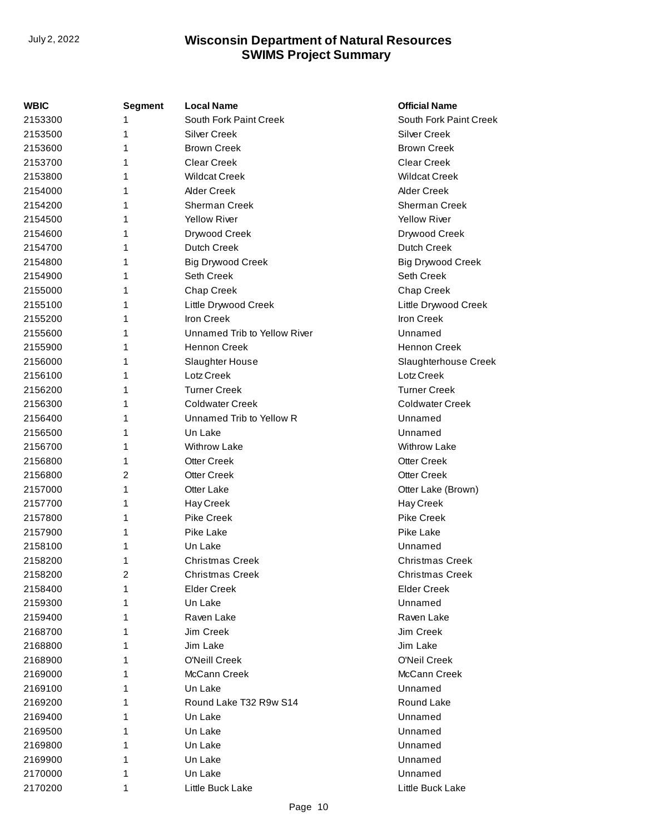| WBIC    | <b>Segment</b> | <b>Local Name</b>            | <b>Official Name</b>     |
|---------|----------------|------------------------------|--------------------------|
| 2153300 | 1              | South Fork Paint Creek       | South Fork Paint Creek   |
| 2153500 | 1              | <b>Silver Creek</b>          | <b>Silver Creek</b>      |
| 2153600 | 1              | <b>Brown Creek</b>           | <b>Brown Creek</b>       |
| 2153700 | 1              | <b>Clear Creek</b>           | <b>Clear Creek</b>       |
| 2153800 | 1              | <b>Wildcat Creek</b>         | <b>Wildcat Creek</b>     |
| 2154000 | 1              | <b>Alder Creek</b>           | <b>Alder Creek</b>       |
| 2154200 | 1              | <b>Sherman Creek</b>         | Sherman Creek            |
| 2154500 | 1              | <b>Yellow River</b>          | <b>Yellow River</b>      |
| 2154600 | 1              | Drywood Creek                | Drywood Creek            |
| 2154700 | 1              | Dutch Creek                  | <b>Dutch Creek</b>       |
| 2154800 | 1              | <b>Big Drywood Creek</b>     | <b>Big Drywood Creek</b> |
| 2154900 | 1              | Seth Creek                   | Seth Creek               |
| 2155000 | 1              | Chap Creek                   | Chap Creek               |
| 2155100 | 1              | Little Drywood Creek         | Little Drywood Creek     |
| 2155200 | 1              | Iron Creek                   | Iron Creek               |
| 2155600 | 1              | Unnamed Trib to Yellow River | Unnamed                  |
| 2155900 | 1              | <b>Hennon Creek</b>          | <b>Hennon Creek</b>      |
| 2156000 | 1              | Slaughter House              | Slaughterhouse Creek     |
| 2156100 | 1              | Lotz Creek                   | Lotz Creek               |
| 2156200 | 1              | <b>Turner Creek</b>          | <b>Turner Creek</b>      |
| 2156300 | 1              | <b>Coldwater Creek</b>       | <b>Coldwater Creek</b>   |
| 2156400 | 1              | Unnamed Trib to Yellow R     | Unnamed                  |
| 2156500 | 1              | Un Lake                      | Unnamed                  |
| 2156700 | 1              | <b>Withrow Lake</b>          | <b>Withrow Lake</b>      |
| 2156800 | 1              | <b>Otter Creek</b>           | <b>Otter Creek</b>       |
| 2156800 | 2              | <b>Otter Creek</b>           | <b>Otter Creek</b>       |
| 2157000 | 1              | <b>Otter Lake</b>            | Otter Lake (Brown)       |
| 2157700 | 1              | Hay Creek                    | Hay Creek                |
| 2157800 | 1              | <b>Pike Creek</b>            | Pike Creek               |
| 2157900 | 1              | Pike Lake                    | Pike Lake                |
| 2158100 | 1              | Un Lake                      | Unnamed                  |
| 2158200 | 1              | <b>Christmas Creek</b>       | <b>Christmas Creek</b>   |
| 2158200 | 2              | <b>Christmas Creek</b>       | <b>Christmas Creek</b>   |
| 2158400 | 1              | <b>Elder Creek</b>           | <b>Elder Creek</b>       |
| 2159300 | 1              | Un Lake                      | Unnamed                  |
| 2159400 | 1              | Raven Lake                   | Raven Lake               |
| 2168700 | 1              | Jim Creek                    | Jim Creek                |
| 2168800 | 1              | Jim Lake                     | Jim Lake                 |
| 2168900 | 1              | <b>O'Neill Creek</b>         | O'Neil Creek             |
| 2169000 | 1              | McCann Creek                 | McCann Creek             |
| 2169100 | 1              | Un Lake                      | Unnamed                  |
| 2169200 | 1              | Round Lake T32 R9w S14       | Round Lake               |
| 2169400 | 1              | Un Lake                      | Unnamed                  |
| 2169500 | 1              | Un Lake                      | Unnamed                  |
| 2169800 | 1              | Un Lake                      | Unnamed                  |
| 2169900 | 1              | Un Lake                      | Unnamed                  |
| 2170000 | 1              | Un Lake                      | Unnamed                  |
| 2170200 | 1              | Little Buck Lake             | Little Buck Lake         |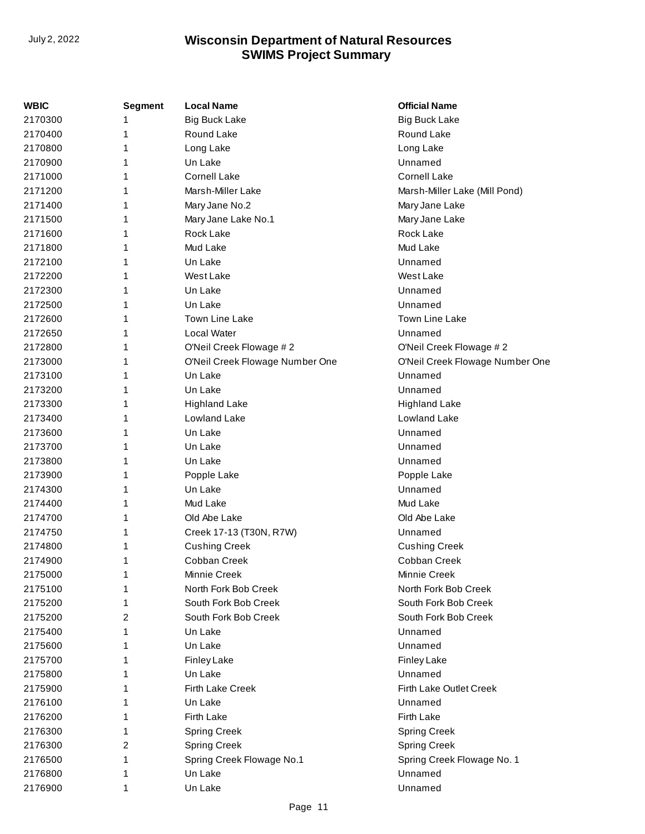| WBIC    | <b>Segment</b> | <b>Local Name</b>               | <b>Official Name</b>            |
|---------|----------------|---------------------------------|---------------------------------|
| 2170300 | 1              | <b>Big Buck Lake</b>            | <b>Big Buck Lake</b>            |
| 2170400 | 1              | Round Lake                      | Round Lake                      |
| 2170800 | 1              | Long Lake                       | Long Lake                       |
| 2170900 | 1              | Un Lake                         | Unnamed                         |
| 2171000 | 1              | <b>Cornell Lake</b>             | <b>Cornell Lake</b>             |
| 2171200 | 1              | Marsh-Miller Lake               | Marsh-Miller Lake (Mill Pond)   |
| 2171400 | 1              | Mary Jane No.2                  | Mary Jane Lake                  |
| 2171500 | 1              | Mary Jane Lake No.1             | Mary Jane Lake                  |
| 2171600 | 1              | Rock Lake                       | Rock Lake                       |
| 2171800 | 1              | Mud Lake                        | Mud Lake                        |
| 2172100 | 1              | Un Lake                         | Unnamed                         |
| 2172200 | 1              | West Lake                       | <b>West Lake</b>                |
| 2172300 | 1              | Un Lake                         | Unnamed                         |
| 2172500 | 1              | Un Lake                         | Unnamed                         |
| 2172600 | 1              | <b>Town Line Lake</b>           | <b>Town Line Lake</b>           |
| 2172650 | 1              | Local Water                     | Unnamed                         |
| 2172800 | 1              | O'Neil Creek Flowage #2         | O'Neil Creek Flowage #2         |
| 2173000 | 1              | O'Neil Creek Flowage Number One | O'Neil Creek Flowage Number One |
| 2173100 | 1              | Un Lake                         | Unnamed                         |
| 2173200 | 1              | Un Lake                         | Unnamed                         |
| 2173300 | 1              | <b>Highland Lake</b>            | <b>Highland Lake</b>            |
| 2173400 | 1              | Lowland Lake                    | Lowland Lake                    |
| 2173600 | 1              | Un Lake                         | Unnamed                         |
| 2173700 | 1              | Un Lake                         | Unnamed                         |
| 2173800 | 1              | Un Lake                         | Unnamed                         |
| 2173900 | 1              | Popple Lake                     | Popple Lake                     |
| 2174300 | 1              | Un Lake                         | Unnamed                         |
| 2174400 | 1              | Mud Lake                        | Mud Lake                        |
| 2174700 | 1              | Old Abe Lake                    | Old Abe Lake                    |
| 2174750 | 1              | Creek 17-13 (T30N, R7W)         | Unnamed                         |
| 2174800 | 1              | <b>Cushing Creek</b>            | <b>Cushing Creek</b>            |
| 2174900 | 1              | Cobban Creek                    | Cobban Creek                    |
| 2175000 | 1              | Minnie Creek                    | Minnie Creek                    |
| 2175100 | 1              | North Fork Bob Creek            | North Fork Bob Creek            |
| 2175200 | 1              | South Fork Bob Creek            | South Fork Bob Creek            |
| 2175200 | 2              | South Fork Bob Creek            | South Fork Bob Creek            |
| 2175400 | 1              | Un Lake                         | Unnamed                         |
| 2175600 | 1              | Un Lake                         | Unnamed                         |
| 2175700 | 1              | <b>Finley Lake</b>              | <b>Finley Lake</b>              |
| 2175800 | 1              | Un Lake                         | Unnamed                         |
| 2175900 | 1              | <b>Firth Lake Creek</b>         | Firth Lake Outlet Creek         |
| 2176100 | 1              | Un Lake                         | Unnamed                         |
| 2176200 | 1              | <b>Firth Lake</b>               | Firth Lake                      |
| 2176300 | 1              | <b>Spring Creek</b>             | <b>Spring Creek</b>             |
| 2176300 | 2              | <b>Spring Creek</b>             | <b>Spring Creek</b>             |
| 2176500 | 1              | Spring Creek Flowage No.1       | Spring Creek Flowage No. 1      |
| 2176800 | 1              | Un Lake                         | Unnamed                         |
| 2176900 | 1              | Un Lake                         | Unnamed                         |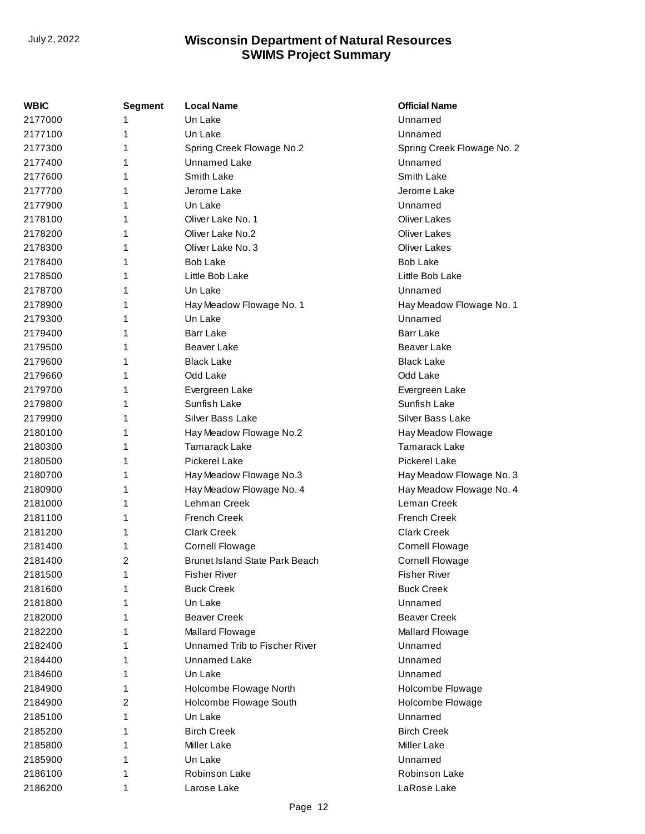| WBIC    | <b>Segment</b> | <b>Local Name</b>                     | <b>Official Name</b>       |
|---------|----------------|---------------------------------------|----------------------------|
| 2177000 | 1              | Un Lake                               | Unnamed                    |
| 2177100 | 1              | Un Lake                               | Unnamed                    |
| 2177300 | 1              | Spring Creek Flowage No.2             | Spring Creek Flowage No. 2 |
| 2177400 | 1              | Unnamed Lake                          | Unnamed                    |
| 2177600 | 1              | Smith Lake                            | Smith Lake                 |
| 2177700 | 1              | Jerome Lake                           | Jerome Lake                |
| 2177900 | 1              | Un Lake                               | Unnamed                    |
| 2178100 | 1              | Oliver Lake No. 1                     | <b>Oliver Lakes</b>        |
| 2178200 | 1              | Oliver Lake No.2                      | <b>Oliver Lakes</b>        |
| 2178300 | 1              | Oliver Lake No. 3                     | <b>Oliver Lakes</b>        |
| 2178400 | 1              | <b>Bob Lake</b>                       | <b>Bob Lake</b>            |
| 2178500 | 1              | Little Bob Lake                       | Little Bob Lake            |
| 2178700 | 1              | Un Lake                               | Unnamed                    |
| 2178900 | 1              | Hay Meadow Flowage No. 1              | Hay Meadow Flowage No. 1   |
| 2179300 | 1              | Un Lake                               | Unnamed                    |
| 2179400 | 1              | <b>Barr Lake</b>                      | <b>Barr Lake</b>           |
| 2179500 | 1              | Beaver Lake                           | Beaver Lake                |
| 2179600 | 1              | <b>Black Lake</b>                     | <b>Black Lake</b>          |
| 2179660 | 1              | Odd Lake                              | Odd Lake                   |
| 2179700 | 1              | Evergreen Lake                        | Evergreen Lake             |
| 2179800 | 1              | Sunfish Lake                          | Sunfish Lake               |
| 2179900 | 1              | Silver Bass Lake                      | Silver Bass Lake           |
| 2180100 | 1              | Hay Meadow Flowage No.2               | Hay Meadow Flowage         |
| 2180300 | 1              | <b>Tamarack Lake</b>                  | <b>Tamarack Lake</b>       |
| 2180500 | 1              | <b>Pickerel Lake</b>                  | <b>Pickerel Lake</b>       |
| 2180700 | 1              | Hay Meadow Flowage No.3               | Hay Meadow Flowage No. 3   |
| 2180900 | 1              | Hay Meadow Flowage No. 4              | Hay Meadow Flowage No. 4   |
| 2181000 | 1              | Lehman Creek                          | Leman Creek                |
| 2181100 | 1              | <b>French Creek</b>                   | <b>French Creek</b>        |
| 2181200 | 1              | <b>Clark Creek</b>                    | <b>Clark Creek</b>         |
| 2181400 | 1              | <b>Cornell Flowage</b>                | <b>Cornell Flowage</b>     |
| 2181400 | 2              | <b>Brunet Island State Park Beach</b> | <b>Cornell Flowage</b>     |
| 2181500 | 1              | <b>Fisher River</b>                   | <b>Fisher River</b>        |
| 2181600 | 1              | <b>Buck Creek</b>                     | <b>Buck Creek</b>          |
| 2181800 | 1              | Un Lake                               | Unnamed                    |
| 2182000 | 1              | <b>Beaver Creek</b>                   | <b>Beaver Creek</b>        |
| 2182200 | 1              | Mallard Flowage                       | <b>Mallard Flowage</b>     |
| 2182400 | 1              | Unnamed Trib to Fischer River         | Unnamed                    |
| 2184400 | 1              | Unnamed Lake                          | Unnamed                    |
| 2184600 | 1              | Un Lake                               | Unnamed                    |
| 2184900 | 1              | Holcombe Flowage North                | Holcombe Flowage           |
| 2184900 | 2              | Holcombe Flowage South                | Holcombe Flowage           |
| 2185100 | 1              | Un Lake                               | Unnamed                    |
| 2185200 | 1              | <b>Birch Creek</b>                    | <b>Birch Creek</b>         |
| 2185800 | 1              | <b>Miller Lake</b>                    | <b>Miller Lake</b>         |
| 2185900 | 1              | Un Lake                               | Unnamed                    |
| 2186100 | 1              | Robinson Lake                         | Robinson Lake              |
| 2186200 | 1              | Larose Lake                           | LaRose Lake                |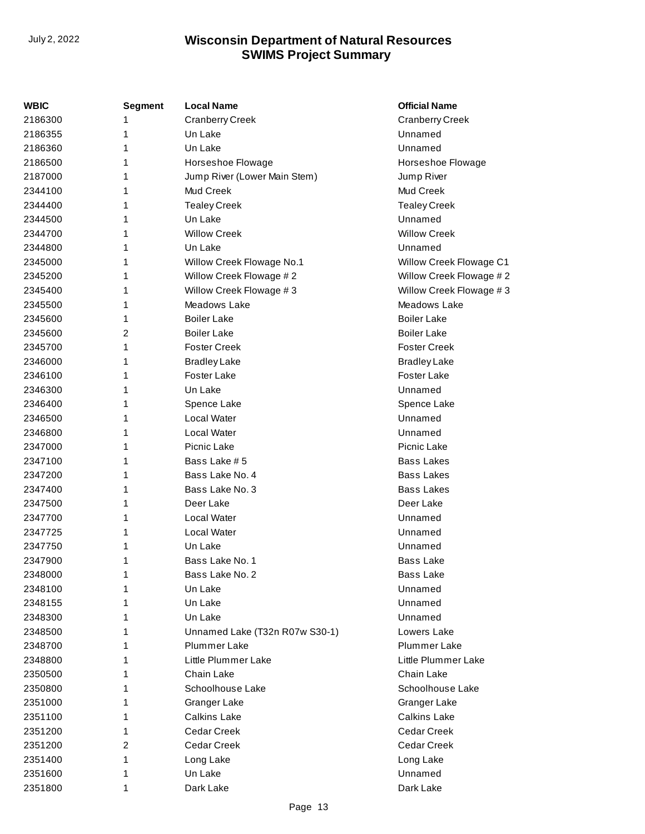| WBIC    | <b>Segment</b> | <b>Local Name</b>              | <b>Official Name</b>    |
|---------|----------------|--------------------------------|-------------------------|
| 2186300 | 1              | <b>Cranberry Creek</b>         | <b>Cranberry Creek</b>  |
| 2186355 | 1              | Un Lake                        | Unnamed                 |
| 2186360 | 1              | Un Lake                        | Unnamed                 |
| 2186500 | 1              | Horseshoe Flowage              | Horseshoe Flowage       |
| 2187000 | 1              | Jump River (Lower Main Stem)   | Jump River              |
| 2344100 | 1              | Mud Creek                      | Mud Creek               |
| 2344400 | 1              | <b>Tealey Creek</b>            | <b>Tealey Creek</b>     |
| 2344500 | 1              | Un Lake                        | Unnamed                 |
| 2344700 | 1              | <b>Willow Creek</b>            | <b>Willow Creek</b>     |
| 2344800 | 1              | Un Lake                        | Unnamed                 |
| 2345000 | 1              | Willow Creek Flowage No.1      | Willow Creek Flowage C1 |
| 2345200 | 1              | Willow Creek Flowage #2        | Willow Creek Flowage #2 |
| 2345400 | 1              | Willow Creek Flowage #3        | Willow Creek Flowage #3 |
| 2345500 | 1              | Meadows Lake                   | Meadows Lake            |
| 2345600 | 1              | <b>Boiler Lake</b>             | <b>Boiler Lake</b>      |
| 2345600 | 2              | <b>Boiler Lake</b>             | <b>Boiler Lake</b>      |
| 2345700 | 1              | <b>Foster Creek</b>            | <b>Foster Creek</b>     |
| 2346000 | 1              | <b>Bradley Lake</b>            | <b>Bradley Lake</b>     |
| 2346100 | 1              | <b>Foster Lake</b>             | <b>Foster Lake</b>      |
| 2346300 | 1              | Un Lake                        | Unnamed                 |
| 2346400 | 1              | Spence Lake                    | Spence Lake             |
| 2346500 | 1              | Local Water                    | Unnamed                 |
| 2346800 | 1              | Local Water                    | Unnamed                 |
| 2347000 | 1              | Picnic Lake                    | Picnic Lake             |
| 2347100 | 1              | Bass Lake # 5                  | <b>Bass Lakes</b>       |
| 2347200 | 1              | Bass Lake No. 4                | <b>Bass Lakes</b>       |
| 2347400 | 1              | Bass Lake No. 3                | <b>Bass Lakes</b>       |
| 2347500 | 1              | Deer Lake                      | Deer Lake               |
| 2347700 | 1              | Local Water                    | Unnamed                 |
| 2347725 | 1              | Local Water                    | Unnamed                 |
| 2347750 | 1              | Un Lake                        | Unnamed                 |
| 2347900 | 1              | Bass Lake No. 1                | <b>Bass Lake</b>        |
| 2348000 | 1              | Bass Lake No. 2                | <b>Bass Lake</b>        |
| 2348100 |                | Un Lake                        | Unnamed                 |
| 2348155 | 1              | Un Lake                        | Unnamed                 |
| 2348300 | 1              | Un Lake                        | Unnamed                 |
| 2348500 | 1              | Unnamed Lake (T32n R07w S30-1) | Lowers Lake             |
| 2348700 | 1              | Plummer Lake                   | Plummer Lake            |
| 2348800 | 1              | Little Plummer Lake            | Little Plummer Lake     |
| 2350500 | 1              | Chain Lake                     | Chain Lake              |
| 2350800 | 1              | Schoolhouse Lake               | Schoolhouse Lake        |
| 2351000 | 1              | Granger Lake                   | Granger Lake            |
| 2351100 | 1              | <b>Calkins Lake</b>            | <b>Calkins Lake</b>     |
| 2351200 | 1              | <b>Cedar Creek</b>             | Cedar Creek             |
| 2351200 | 2              | Cedar Creek                    | Cedar Creek             |
| 2351400 | 1              | Long Lake                      | Long Lake               |
| 2351600 | 1              | Un Lake                        | Unnamed                 |
| 2351800 | 1              | Dark Lake                      | Dark Lake               |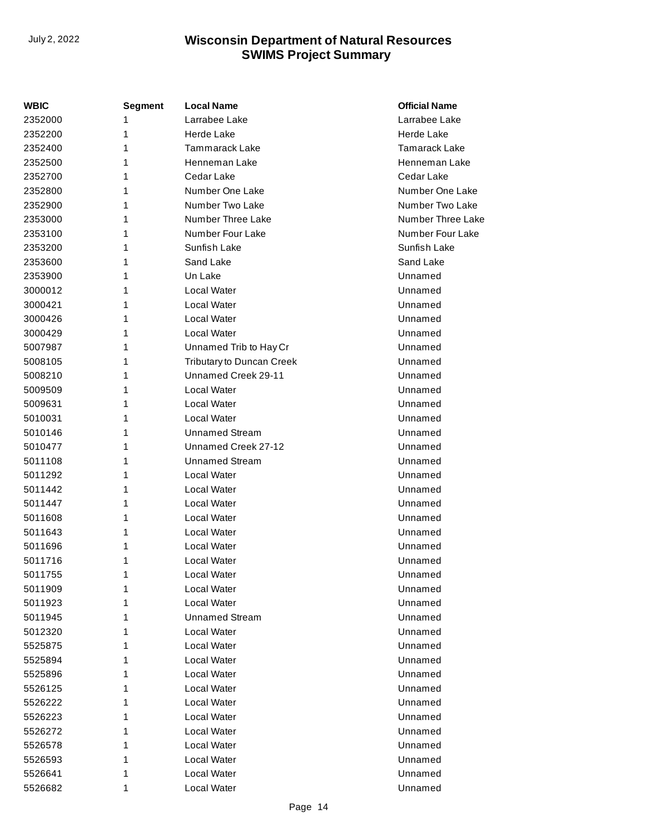| WBIC    | Segment | Local Name                | <b>Official Name</b> |
|---------|---------|---------------------------|----------------------|
| 2352000 | 1       | Larrabee Lake             | Larrabee Lake        |
| 2352200 | 1       | Herde Lake                | Herde Lake           |
| 2352400 | 1       | Tammarack Lake            | Tamarack Lake        |
| 2352500 | 1       | Henneman Lake             | Henneman Lake        |
| 2352700 | 1       | Cedar Lake                | Cedar Lake           |
| 2352800 | 1       | Number One Lake           | Number One Lake      |
| 2352900 | 1       | Number Two Lake           | Number Two Lake      |
| 2353000 | 1       | Number Three Lake         | Number Three Lake    |
| 2353100 | 1       | Number Four Lake          | Number Four Lake     |
| 2353200 | 1       | Sunfish Lake              | Sunfish Lake         |
| 2353600 | 1       | Sand Lake                 | Sand Lake            |
| 2353900 | 1       | Un Lake                   | Unnamed              |
| 3000012 | 1       | Local Water               | Unnamed              |
| 3000421 | 1       | Local Water               | Unnamed              |
| 3000426 | 1       | Local Water               | Unnamed              |
| 3000429 | 1       | Local Water               | Unnamed              |
| 5007987 | 1       | Unnamed Trib to Hay Cr    | Unnamed              |
| 5008105 | 1       | Tributary to Duncan Creek | Unnamed              |
| 5008210 | 1       | Unnamed Creek 29-11       | Unnamed              |
| 5009509 | 1       | Local Water               | Unnamed              |
| 5009631 | 1       | Local Water               | Unnamed              |
| 5010031 | 1       | Local Water               | Unnamed              |
| 5010146 | 1       | <b>Unnamed Stream</b>     | Unnamed              |
| 5010477 | 1       | Unnamed Creek 27-12       | Unnamed              |
| 5011108 | 1       | <b>Unnamed Stream</b>     | Unnamed              |
| 5011292 | 1       | Local Water               | Unnamed              |
| 5011442 | 1       | Local Water               | Unnamed              |
| 5011447 | 1       | Local Water               | Unnamed              |
| 5011608 | 1       | Local Water               | Unnamed              |
| 5011643 | 1       | Local Water               | Unnamed              |
| 5011696 | 1       | Local Water               | Unnamed              |
| 5011716 | 1       | Local Water               | Unnamed              |
| 5011755 | 1       | Local Water               | Unnamed              |
| 5011909 | 1       | Local Water               | Unnamed              |
| 5011923 | 1       | Local Water               | Unnamed              |
| 5011945 | 1       | <b>Unnamed Stream</b>     | Unnamed              |
| 5012320 | 1       | Local Water               | Unnamed              |
| 5525875 | 1       | Local Water               | Unnamed              |
| 5525894 | 1       | Local Water               | Unnamed              |
| 5525896 | 1       | Local Water               | Unnamed              |
| 5526125 | 1       | Local Water               | Unnamed              |
| 5526222 | 1       | Local Water               | Unnamed              |
| 5526223 | 1       | Local Water               | Unnamed              |
| 5526272 | 1       | Local Water               | Unnamed              |
| 5526578 | 1       | Local Water               | Unnamed              |
| 5526593 | 1       | Local Water               | Unnamed              |
| 5526641 | 1       | Local Water               | Unnamed              |
| 5526682 | 1       | Local Water               | Unnamed              |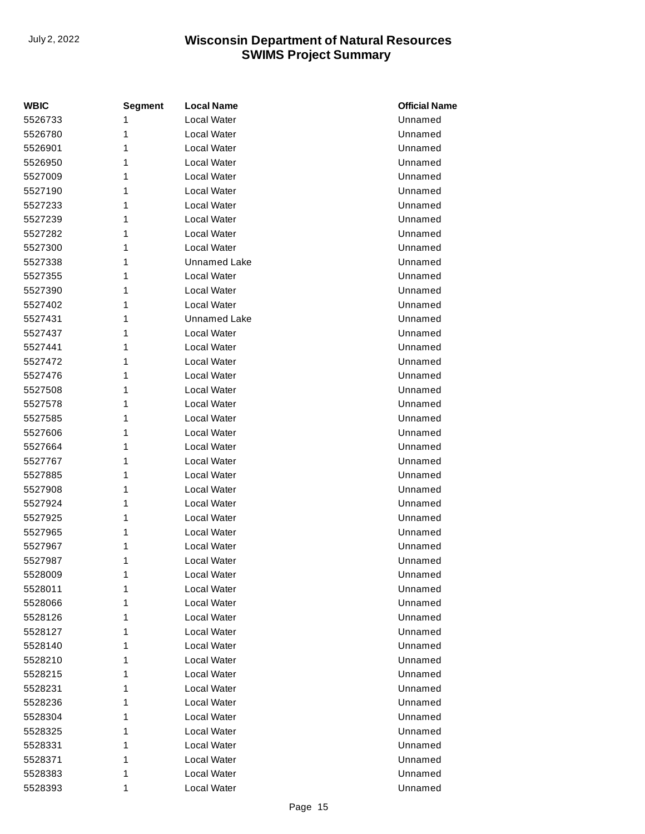| <b>WBIC</b> | <b>Segment</b> | <b>Local Name</b>   | <b>Official Name</b> |
|-------------|----------------|---------------------|----------------------|
| 5526733     | 1              | <b>Local Water</b>  | Unnamed              |
| 5526780     | 1              | Local Water         | Unnamed              |
| 5526901     | 1              | Local Water         | Unnamed              |
| 5526950     | 1              | Local Water         | Unnamed              |
| 5527009     | 1              | Local Water         | Unnamed              |
| 5527190     | 1              | <b>Local Water</b>  | Unnamed              |
| 5527233     | 1              | Local Water         | Unnamed              |
| 5527239     | 1              | Local Water         | Unnamed              |
| 5527282     | 1              | Local Water         | Unnamed              |
| 5527300     | 1              | Local Water         | Unnamed              |
| 5527338     | 1              | Unnamed Lake        | Unnamed              |
| 5527355     | 1              | Local Water         | Unnamed              |
| 5527390     | 1              | Local Water         | Unnamed              |
| 5527402     | 1              | Local Water         | Unnamed              |
| 5527431     | 1              | <b>Unnamed Lake</b> | Unnamed              |
| 5527437     | 1              | Local Water         | Unnamed              |
| 5527441     | 1              | Local Water         | Unnamed              |
| 5527472     | 1              | Local Water         | Unnamed              |
| 5527476     | 1              | Local Water         | Unnamed              |
| 5527508     | 1              | Local Water         | Unnamed              |
| 5527578     | 1              | Local Water         | Unnamed              |
| 5527585     | 1              | <b>Local Water</b>  | Unnamed              |
| 5527606     | 1              | Local Water         | Unnamed              |
| 5527664     | 1              | Local Water         | Unnamed              |
| 5527767     | 1              | Local Water         | Unnamed              |
| 5527885     | 1              | Local Water         | Unnamed              |
| 5527908     | 1              | Local Water         | Unnamed              |
| 5527924     | 1              | Local Water         | Unnamed              |
| 5527925     | 1              | Local Water         | Unnamed              |
| 5527965     | 1              | <b>Local Water</b>  | Unnamed              |
| 5527967     | 1              | Local Water         | Unnamed              |
| 5527987     | 1              | Local Water         | Unnamed              |
| 5528009     | 1              | Local Water         | Unnamed              |
| 5528011     | 1              | Local Water         | Unnamed              |
| 5528066     | 1              | Local Water         | Unnamed              |
| 5528126     | 1              | Local Water         | Unnamed              |
| 5528127     | 1              | Local Water         | Unnamed              |
| 5528140     | 1              | Local Water         | Unnamed              |
| 5528210     | 1              | Local Water         | Unnamed              |
| 5528215     | 1              | Local Water         | Unnamed              |
| 5528231     | 1              | Local Water         | Unnamed              |
| 5528236     | 1              | Local Water         | Unnamed              |
| 5528304     | 1              | Local Water         | Unnamed              |
| 5528325     | 1              | Local Water         | Unnamed              |
| 5528331     | 1              | Local Water         | Unnamed              |
| 5528371     | 1              | Local Water         | Unnamed              |
| 5528383     | 1              | Local Water         | Unnamed              |
| 5528393     | 1              | Local Water         | Unnamed              |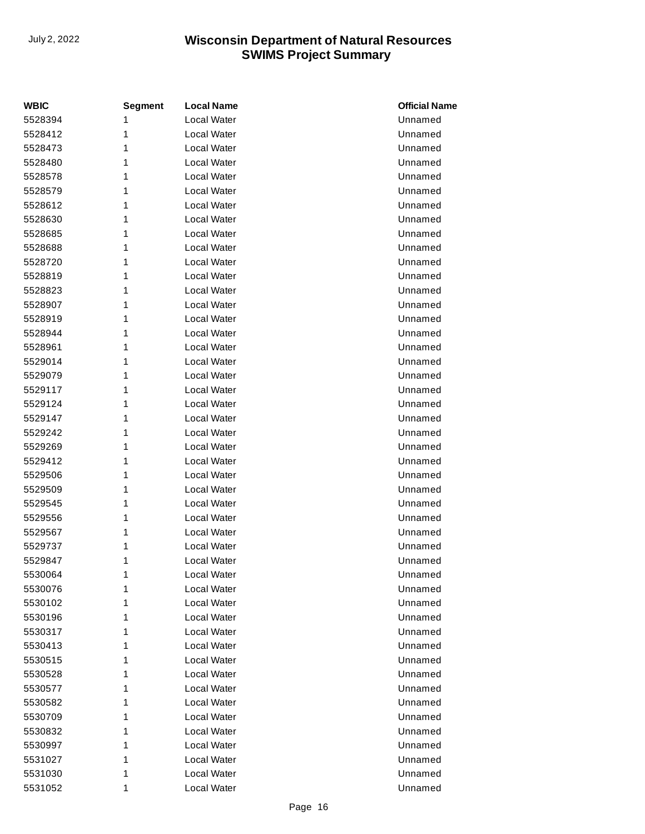| <b>WBIC</b> | <b>Segment</b> | <b>Local Name</b>  | <b>Official Name</b> |
|-------------|----------------|--------------------|----------------------|
| 5528394     | 1              | <b>Local Water</b> | Unnamed              |
| 5528412     | 1              | Local Water        | Unnamed              |
| 5528473     | 1              | Local Water        | Unnamed              |
| 5528480     | 1              | Local Water        | Unnamed              |
| 5528578     | 1              | Local Water        | Unnamed              |
| 5528579     | 1              | Local Water        | Unnamed              |
| 5528612     | 1              | Local Water        | Unnamed              |
| 5528630     | 1              | Local Water        | Unnamed              |
| 5528685     | 1              | Local Water        | Unnamed              |
| 5528688     | 1              | Local Water        | Unnamed              |
| 5528720     | 1              | Local Water        | Unnamed              |
| 5528819     | 1              | Local Water        | Unnamed              |
| 5528823     | 1              | Local Water        | Unnamed              |
| 5528907     | 1              | <b>Local Water</b> | Unnamed              |
| 5528919     | 1              | Local Water        | Unnamed              |
| 5528944     | 1              | <b>Local Water</b> | Unnamed              |
| 5528961     | 1              | Local Water        | Unnamed              |
| 5529014     | 1              | Local Water        | Unnamed              |
| 5529079     | 1              | Local Water        | Unnamed              |
| 5529117     | 1              | Local Water        | Unnamed              |
| 5529124     | 1              | Local Water        | Unnamed              |
| 5529147     | 1              | Local Water        | Unnamed              |
| 5529242     | 1              | Local Water        | Unnamed              |
| 5529269     | 1              | <b>Local Water</b> | Unnamed              |
| 5529412     | 1              | Local Water        | Unnamed              |
| 5529506     | 1              | Local Water        | Unnamed              |
| 5529509     | 1              | Local Water        | Unnamed              |
| 5529545     | 1              | Local Water        | Unnamed              |
| 5529556     | 1              | Local Water        | Unnamed              |
| 5529567     | 1              | Local Water        | Unnamed              |
| 5529737     | 1              | Local Water        | Unnamed              |
| 5529847     | 1              | Local Water        | Unnamed              |
| 5530064     | 1              | Local Water        | Unnamed              |
| 5530076     | 1              | Local Water        | Unnamed              |
| 5530102     | 1              | Local Water        | Unnamed              |
| 5530196     | 1              | Local Water        | Unnamed              |
| 5530317     | 1              | Local Water        | Unnamed              |
| 5530413     | 1              | Local Water        | Unnamed              |
| 5530515     | 1              | Local Water        | Unnamed              |
| 5530528     | 1              | Local Water        | Unnamed              |
| 5530577     | 1              | Local Water        | Unnamed              |
| 5530582     | 1              | Local Water        | Unnamed              |
| 5530709     | 1              | Local Water        | Unnamed              |
| 5530832     | 1              | Local Water        | Unnamed              |
| 5530997     | 1              | Local Water        | Unnamed              |
| 5531027     | 1              | Local Water        | Unnamed              |
| 5531030     | 1              | Local Water        | Unnamed              |
| 5531052     | 1              | Local Water        | Unnamed              |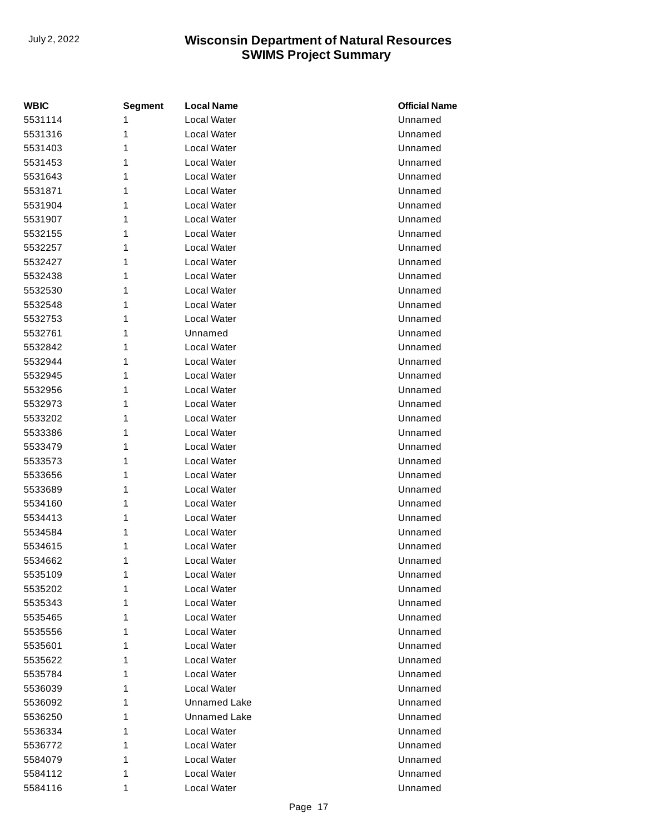| <b>WBIC</b> | <b>Segment</b> | <b>Local Name</b>  | <b>Official Name</b> |
|-------------|----------------|--------------------|----------------------|
| 5531114     | 1              | <b>Local Water</b> | Unnamed              |
| 5531316     | 1              | <b>Local Water</b> | Unnamed              |
| 5531403     | 1              | <b>Local Water</b> | Unnamed              |
| 5531453     | 1              | Local Water        | Unnamed              |
| 5531643     | 1              | Local Water        | Unnamed              |
| 5531871     | 1              | <b>Local Water</b> | Unnamed              |
| 5531904     | 1              | <b>Local Water</b> | Unnamed              |
| 5531907     | 1              | Local Water        | Unnamed              |
| 5532155     | 1              | <b>Local Water</b> | Unnamed              |
| 5532257     | 1              | <b>Local Water</b> | Unnamed              |
| 5532427     | 1              | <b>Local Water</b> | Unnamed              |
| 5532438     | 1              | <b>Local Water</b> | Unnamed              |
| 5532530     | 1              | Local Water        | Unnamed              |
| 5532548     | 1              | Local Water        | Unnamed              |
| 5532753     | 1              | <b>Local Water</b> | Unnamed              |
| 5532761     | 1              | Unnamed            | Unnamed              |
| 5532842     | 1              | Local Water        | Unnamed              |
| 5532944     | 1              | <b>Local Water</b> | Unnamed              |
| 5532945     | 1              | <b>Local Water</b> | Unnamed              |
| 5532956     | 1              | <b>Local Water</b> | Unnamed              |
| 5532973     | 1              | Local Water        | Unnamed              |
| 5533202     | 1              | <b>Local Water</b> | Unnamed              |
| 5533386     | 1              | <b>Local Water</b> | Unnamed              |
| 5533479     | 1              | Local Water        | Unnamed              |
| 5533573     | 1              | <b>Local Water</b> | Unnamed              |
| 5533656     | 1              | <b>Local Water</b> | Unnamed              |
| 5533689     | 1              | <b>Local Water</b> | Unnamed              |
| 5534160     | 1              | Local Water        | Unnamed              |
| 5534413     | 1              | Local Water        | Unnamed              |
| 5534584     | 1              | Local Water        | Unnamed              |
| 5534615     | 1              | <b>Local Water</b> | Unnamed              |
| 5534662     | 1              | Local Water        | Unnamed              |
| 5535109     | 1              | Local Water        | Unnamed              |
| 5535202     | 1              | <b>Local Water</b> | Unnamed              |
| 5535343     | 1              | Local Water        | Unnamed              |
| 5535465     | 1              | Local Water        | Unnamed              |
| 5535556     | 1              | Local Water        | Unnamed              |
| 5535601     | 1              | Local Water        | Unnamed              |
| 5535622     | 1              | Local Water        | Unnamed              |
| 5535784     | 1              | Local Water        | Unnamed              |
| 5536039     | 1              | Local Water        | Unnamed              |
| 5536092     | 1              | Unnamed Lake       | Unnamed              |
| 5536250     | 1              | Unnamed Lake       | Unnamed              |
| 5536334     | 1              | Local Water        | Unnamed              |
| 5536772     | 1              | Local Water        | Unnamed              |
| 5584079     | 1              | Local Water        | Unnamed              |
| 5584112     | 1              | Local Water        | Unnamed              |
| 5584116     | 1              | Local Water        | Unnamed              |